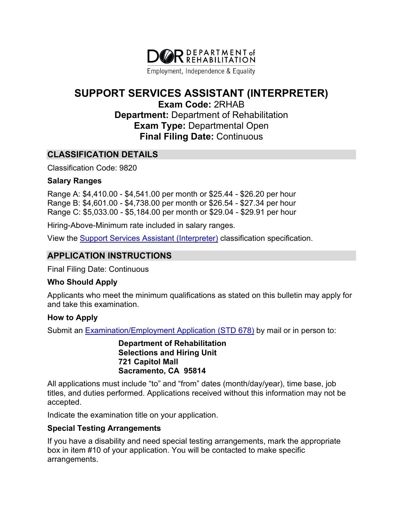

Employment, Independence & Equality

# **SUPPORT SERVICES ASSISTANT (INTERPRETER)**

**Exam Code:** 2RHAB **Department:** Department of Rehabilitation **Exam Type:** Departmental Open **Final Filing Date:** Continuous

## **CLASSIFICATION DETAILS**

Classification Code: 9820

#### **Salary Ranges**

Range A: \$4,410.00 - \$4,541.00 per month or \$25.44 - \$26.20 per hour Range B: \$4,601.00 - \$4,738.00 per month or \$26.54 - \$27.34 per hour Range C: \$5,033.00 - \$5,184.00 per month or \$29.04 - \$29.91 per hour

Hiring-Above-Minimum rate included in salary ranges.

View the **Support Services Assistant (Interpreter)** classification specification.

# **APPLICATION INSTRUCTIONS**

Final Filing Date: Continuous

#### **Who Should Apply**

Applicants who meet the minimum qualifications as stated on this bulletin may apply for and take this examination.

## **How to Apply**

Submit an [Examination/Employment Application \(STD 678\)](https://jobs.ca.gov/pdf/STD678.pdf) by mail or in person to:

**Department of Rehabilitation Selections and Hiring Unit 721 Capitol Mall Sacramento, CA 95814**

All applications must include "to" and "from" dates (month/day/year), time base, job titles, and duties performed. Applications received without this information may not be accepted.

Indicate the examination title on your application.

## **Special Testing Arrangements**

If you have a disability and need special testing arrangements, mark the appropriate box in item #10 of your application. You will be contacted to make specific arrangements.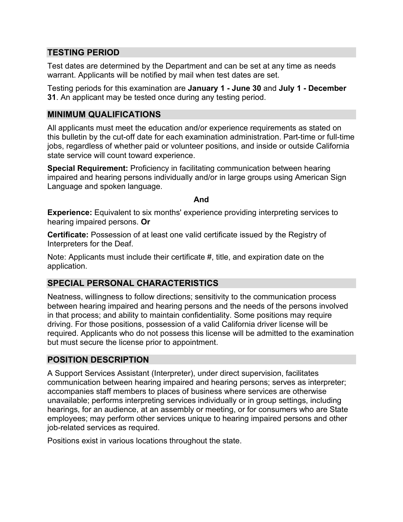# **TESTING PERIOD**

Test dates are determined by the Department and can be set at any time as needs warrant. Applicants will be notified by mail when test dates are set.

Testing periods for this examination are **January 1 - June 30** and **July 1 - December 31**. An applicant may be tested once during any testing period.

## **MINIMUM QUALIFICATIONS**

All applicants must meet the education and/or experience requirements as stated on this bulletin by the cut-off date for each examination administration. Part-time or full-time jobs, regardless of whether paid or volunteer positions, and inside or outside California state service will count toward experience.

**Special Requirement:** Proficiency in facilitating communication between hearing impaired and hearing persons individually and/or in large groups using American Sign Language and spoken language.

**And**

**Experience:** Equivalent to six months' experience providing interpreting services to hearing impaired persons. **Or**

**Certificate:** Possession of at least one valid certificate issued by the Registry of Interpreters for the Deaf.

Note: Applicants must include their certificate #, title, and expiration date on the application.

# **SPECIAL PERSONAL CHARACTERISTICS**

Neatness, willingness to follow directions; sensitivity to the communication process between hearing impaired and hearing persons and the needs of the persons involved in that process; and ability to maintain confidentiality. Some positions may require driving. For those positions, possession of a valid California driver license will be required. Applicants who do not possess this license will be admitted to the examination but must secure the license prior to appointment.

## **POSITION DESCRIPTION**

A Support Services Assistant (Interpreter), under direct supervision, facilitates communication between hearing impaired and hearing persons; serves as interpreter; accompanies staff members to places of business where services are otherwise unavailable; performs interpreting services individually or in group settings, including hearings, for an audience, at an assembly or meeting, or for consumers who are State employees; may perform other services unique to hearing impaired persons and other job-related services as required.

Positions exist in various locations throughout the state.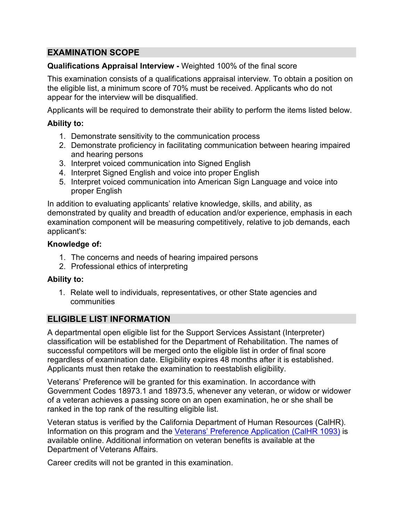# **EXAMINATION SCOPE**

#### **Qualifications Appraisal Interview -** Weighted 100% of the final score

This examination consists of a qualifications appraisal interview. To obtain a position on the eligible list, a minimum score of 70% must be received. Applicants who do not appear for the interview will be disqualified.

Applicants will be required to demonstrate their ability to perform the items listed below.

#### **Ability to:**

- 1. Demonstrate sensitivity to the communication process
- 2. Demonstrate proficiency in facilitating communication between hearing impaired and hearing persons
- 3. Interpret voiced communication into Signed English
- 4. Interpret Signed English and voice into proper English
- 5. Interpret voiced communication into American Sign Language and voice into proper English

In addition to evaluating applicants' relative knowledge, skills, and ability, as demonstrated by quality and breadth of education and/or experience, emphasis in each examination component will be measuring competitively, relative to job demands, each applicant's:

#### **Knowledge of:**

- 1. The concerns and needs of hearing impaired persons
- 2. Professional ethics of interpreting

#### **Ability to:**

1. Relate well to individuals, representatives, or other State agencies and communities

# **ELIGIBLE LIST INFORMATION**

A departmental open eligible list for the Support Services Assistant (Interpreter) classification will be established for the Department of Rehabilitation. The names of successful competitors will be merged onto the eligible list in order of final score regardless of examination date. Eligibility expires 48 months after it is established. Applicants must then retake the examination to reestablish eligibility.

Veterans' Preference will be granted for this examination. In accordance with Government Codes 18973.1 and 18973.5, whenever any veteran, or widow or widower of a veteran achieves a passing score on an open examination, he or she shall be ranked in the top rank of the resulting eligible list.

Veteran status is verified by the California Department of Human Resources (CalHR). Information on this program and the [Veterans' Preference Application \(CalHR 1093\)](https://www.jobs.ca.gov/CalHRPublic/Landing/Jobs/VeteransInformation.aspx) is available online. Additional information on veteran benefits is available at the Department of Veterans Affairs.

Career credits will not be granted in this examination.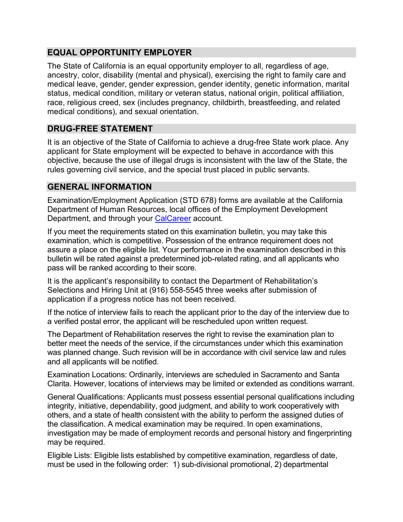# **EQUAL OPPORTUNITY EMPLOYER**

The State of California is an equal opportunity employer to all, regardless of age, ancestry, color, disability (mental and physical), exercising the right to family care and medical leave, gender, gender expression, gender identity, genetic information, marital status, medical condition, military or veteran status, national origin, political affiliation, race, religious creed, sex (includes pregnancy, childbirth, breastfeeding, and related medical conditions), and sexual orientation.

# **DRUG-FREE STATEMENT**

It is an objective of the State of California to achieve a drug-free State work place. Any applicant for State employment will be expected to behave in accordance with this objective, because the use of illegal drugs is inconsistent with the law of the State, the rules governing civil service, and the special trust placed in public servants.

# **GENERAL INFORMATION**

Examination/Employment Application (STD 678) forms are available at the California Department of Human Resources, local offices of the Employment Development Department, and through your [CalCareer](https://jobs.ca.gov/) account.

If you meet the requirements stated on this examination bulletin, you may take this examination, which is competitive. Possession of the entrance requirement does not assure a place on the eligible list. Your performance in the examination described in this bulletin will be rated against a predetermined job-related rating, and all applicants who pass will be ranked according to their score.

It is the applicant's responsibility to contact the Department of Rehabilitation's Selections and Hiring Unit at (916) 558-5545 three weeks after submission of application if a progress notice has not been received.

If the notice of interview fails to reach the applicant prior to the day of the interview due to a verified postal error, the applicant will be rescheduled upon written request.

The Department of Rehabilitation reserves the right to revise the examination plan to better meet the needs of the service, if the circumstances under which this examination was planned change. Such revision will be in accordance with civil service law and rules and all applicants will be notified.

Examination Locations: Ordinarily, interviews are scheduled in Sacramento and Santa Clarita. However, locations of interviews may be limited or extended as conditions warrant.

General Qualifications: Applicants must possess essential personal qualifications including integrity, initiative, dependability, good judgment, and ability to work cooperatively with others, and a state of health consistent with the ability to perform the assigned duties of the classification. A medical examination may be required. In open examinations, investigation may be made of employment records and personal history and fingerprinting may be required.

Eligible Lists: Eligible lists established by competitive examination, regardless of date, must be used in the following order: 1) sub-divisional promotional, 2) departmental